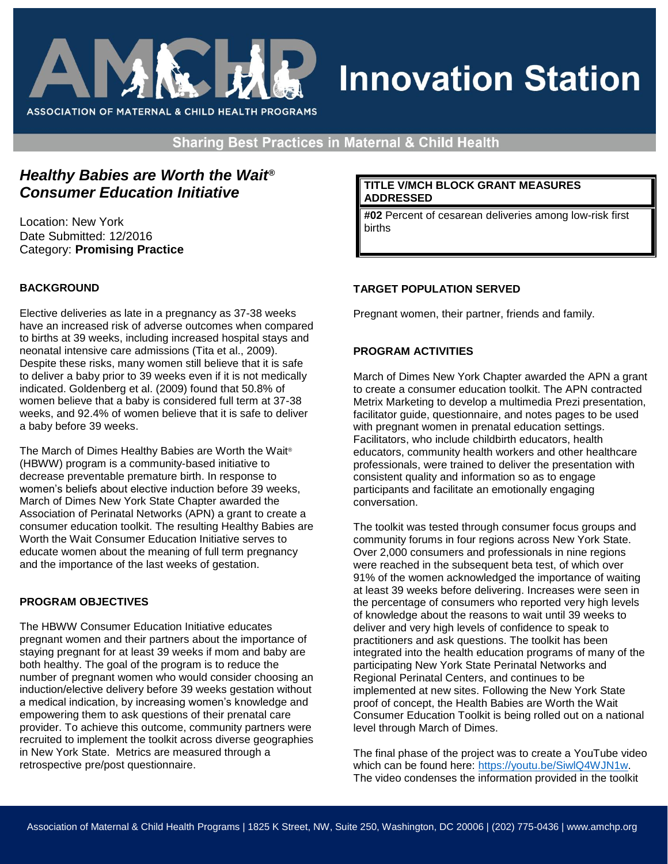

# **Innovation Station**

**Sharing Best Practices in Maternal & Child Health** 

## *Healthy Babies are Worth the Wait® Consumer Education Initiative*

Location: New York Date Submitted: 12/2016 Category: **Promising Practice** 

#### **BACKGROUND**

Elective deliveries as late in a pregnancy as 37-38 weeks have an increased risk of adverse outcomes when compared to births at 39 weeks, including increased hospital stays and neonatal intensive care admissions (Tita et al., 2009). Despite these risks, many women still believe that it is safe to deliver a baby prior to 39 weeks even if it is not medically indicated. Goldenberg et al. (2009) found that 50.8% of women believe that a baby is considered full term at 37-38 weeks, and 92.4% of women believe that it is safe to deliver a baby before 39 weeks.

The March of Dimes Healthy Babies are Worth the Wait® (HBWW) program is a community-based initiative to decrease preventable premature birth. In response to women's beliefs about elective induction before 39 weeks, March of Dimes New York State Chapter awarded the Association of Perinatal Networks (APN) a grant to create a consumer education toolkit. The resulting Healthy Babies are Worth the Wait Consumer Education Initiative serves to educate women about the meaning of full term pregnancy and the importance of the last weeks of gestation.

#### **PROGRAM OBJECTIVES**

The HBWW Consumer Education Initiative educates pregnant women and their partners about the importance of staying pregnant for at least 39 weeks if mom and baby are both healthy. The goal of the program is to reduce the number of pregnant women who would consider choosing an induction/elective delivery before 39 weeks gestation without a medical indication, by increasing women's knowledge and empowering them to ask questions of their prenatal care provider. To achieve this outcome, community partners were recruited to implement the toolkit across diverse geographies in New York State. Metrics are measured through a retrospective pre/post questionnaire.

#### **TITLE V/MCH BLOCK GRANT MEASURES ADDRESSED**

**#02** Percent of cesarean deliveries among low-risk first births

### **TARGET POPULATION SERVED**

Pregnant women, their partner, friends and family.

#### **PROGRAM ACTIVITIES**

March of Dimes New York Chapter awarded the APN a grant to create a consumer education toolkit. The APN contracted Metrix Marketing to develop a multimedia Prezi presentation, facilitator guide, questionnaire, and notes pages to be used with pregnant women in prenatal education settings. Facilitators, who include childbirth educators, health educators, community health workers and other healthcare professionals, were trained to deliver the presentation with consistent quality and information so as to engage participants and facilitate an emotionally engaging conversation.

The toolkit was tested through consumer focus groups and community forums in four regions across New York State. Over 2,000 consumers and professionals in nine regions were reached in the subsequent beta test, of which over 91% of the women acknowledged the importance of waiting at least 39 weeks before delivering. Increases were seen in the percentage of consumers who reported very high levels of knowledge about the reasons to wait until 39 weeks to deliver and very high levels of confidence to speak to practitioners and ask questions. The toolkit has been integrated into the health education programs of many of the participating New York State Perinatal Networks and Regional Perinatal Centers, and continues to be implemented at new sites. Following the New York State proof of concept, the Health Babies are Worth the Wait Consumer Education Toolkit is being rolled out on a national level through March of Dimes.

The final phase of the project was to create a YouTube video which can be found here: [https://youtu.be/SiwlQ4WJN1w.](https://youtu.be/SiwlQ4WJN1w) The video condenses the information provided in the toolkit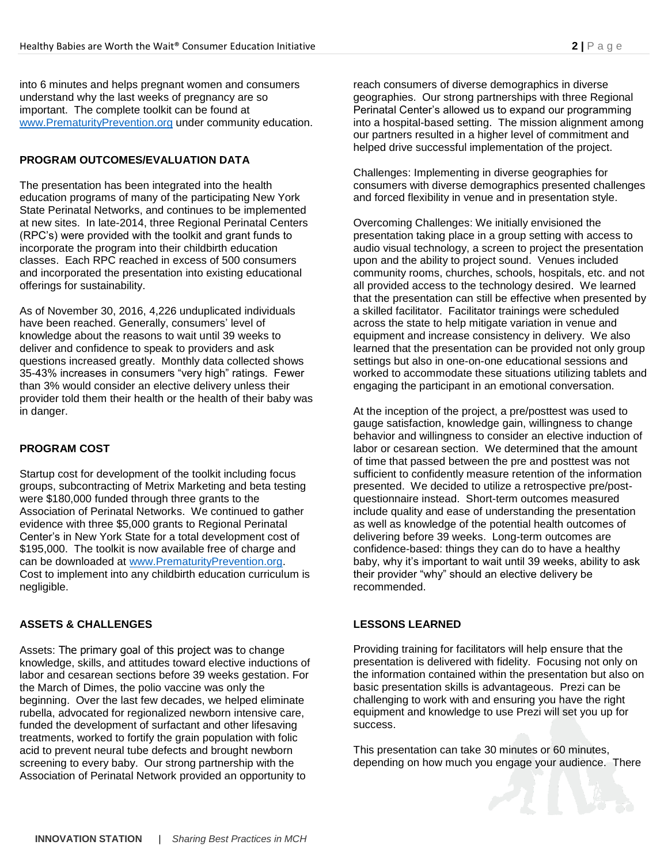into 6 minutes and helps pregnant women and consumers understand why the last weeks of pregnancy are so important. The complete toolkit can be found at [www.PrematurityPrevention.org](http://www.prematurityprevention.org/) under community education.

#### **PROGRAM OUTCOMES/EVALUATION DATA**

The presentation has been integrated into the health education programs of many of the participating New York State Perinatal Networks, and continues to be implemented at new sites. In late-2014, three Regional Perinatal Centers (RPC's) were provided with the toolkit and grant funds to incorporate the program into their childbirth education classes. Each RPC reached in excess of 500 consumers and incorporated the presentation into existing educational offerings for sustainability.

As of November 30, 2016, 4,226 unduplicated individuals have been reached. Generally, consumers' level of knowledge about the reasons to wait until 39 weeks to deliver and confidence to speak to providers and ask questions increased greatly. Monthly data collected shows 35-43% increases in consumers "very high" ratings. Fewer than 3% would consider an elective delivery unless their provider told them their health or the health of their baby was in danger.

#### **PROGRAM COST**

Startup cost for development of the toolkit including focus groups, subcontracting of Metrix Marketing and beta testing were \$180,000 funded through three grants to the Association of Perinatal Networks. We continued to gather evidence with three \$5,000 grants to Regional Perinatal Center's in New York State for a total development cost of \$195,000. The toolkit is now available free of charge and can be downloaded at [www.PrematurityPrevention.org.](http://www.prematurityprevention.org/) Cost to implement into any childbirth education curriculum is negligible.

#### **ASSETS & CHALLENGES**

Assets: The primary goal of this project was to change knowledge, skills, and attitudes toward elective inductions of labor and cesarean sections before 39 weeks gestation. For the March of Dimes, the polio vaccine was only the beginning. Over the last few decades, we helped eliminate rubella, advocated for regionalized newborn intensive care, funded the development of surfactant and other lifesaving treatments, worked to fortify the grain population with folic acid to prevent neural tube defects and brought newborn screening to every baby. Our strong partnership with the Association of Perinatal Network provided an opportunity to

reach consumers of diverse demographics in diverse geographies. Our strong partnerships with three Regional Perinatal Center's allowed us to expand our programming into a hospital-based setting. The mission alignment among our partners resulted in a higher level of commitment and helped drive successful implementation of the project.

Challenges: Implementing in diverse geographies for consumers with diverse demographics presented challenges and forced flexibility in venue and in presentation style.

Overcoming Challenges: We initially envisioned the presentation taking place in a group setting with access to audio visual technology, a screen to project the presentation upon and the ability to project sound. Venues included community rooms, churches, schools, hospitals, etc. and not all provided access to the technology desired. We learned that the presentation can still be effective when presented by a skilled facilitator. Facilitator trainings were scheduled across the state to help mitigate variation in venue and equipment and increase consistency in delivery. We also learned that the presentation can be provided not only group settings but also in one-on-one educational sessions and worked to accommodate these situations utilizing tablets and engaging the participant in an emotional conversation.

At the inception of the project, a pre/posttest was used to gauge satisfaction, knowledge gain, willingness to change behavior and willingness to consider an elective induction of labor or cesarean section. We determined that the amount of time that passed between the pre and posttest was not sufficient to confidently measure retention of the information presented. We decided to utilize a retrospective pre/postquestionnaire instead. Short-term outcomes measured include quality and ease of understanding the presentation as well as knowledge of the potential health outcomes of delivering before 39 weeks. Long-term outcomes are confidence-based: things they can do to have a healthy baby, why it's important to wait until 39 weeks, ability to ask their provider "why" should an elective delivery be recommended.

#### **LESSONS LEARNED**

Providing training for facilitators will help ensure that the presentation is delivered with fidelity. Focusing not only on the information contained within the presentation but also on basic presentation skills is advantageous. Prezi can be challenging to work with and ensuring you have the right equipment and knowledge to use Prezi will set you up for success.

This presentation can take 30 minutes or 60 minutes, depending on how much you engage your audience. There